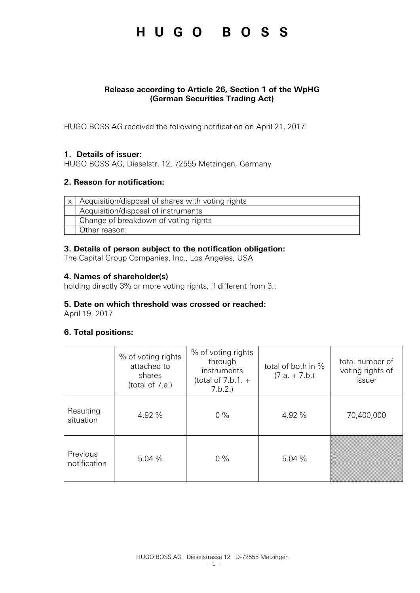## HUGO BOSS

### **Release according to Article 26, Section 1 of the WpHG (German Securities Trading Act)**

HUGO BOSS AG received the following notification on April 21, 2017:

### **1. Details of issuer:**

HUGO BOSS AG, Dieselstr. 12, 72555 Metzingen, Germany

### **2. Reason for notification:**

| x   Acquisition/disposal of shares with voting rights |
|-------------------------------------------------------|
| Acquisition/disposal of instruments                   |
| Change of breakdown of voting rights                  |
| Other reason:                                         |

### **3. Details of person subject to the notification obligation:**

The Capital Group Companies, Inc., Los Angeles, USA

### **4. Names of shareholder(s)**

holding directly 3% or more voting rights, if different from 3.:

#### **5. Date on which threshold was crossed or reached:**

April 19, 2017

## **6. Total positions:**

|                          | % of voting rights<br>attached to<br>shares<br>(total of 7.a.) | % of voting rights<br>through<br>instruments<br>(total of $7.b.1. +$<br>7.b.2. | total of both in %<br>$(7.a. + 7.b.)$ | total number of<br>voting rights of<br>issuer |
|--------------------------|----------------------------------------------------------------|--------------------------------------------------------------------------------|---------------------------------------|-----------------------------------------------|
| Resulting<br>situation   | 4.92 %                                                         | $0\%$                                                                          | 4.92 %                                | 70,400,000                                    |
| Previous<br>notification | 5.04%                                                          | $0\%$                                                                          | 5.04%                                 |                                               |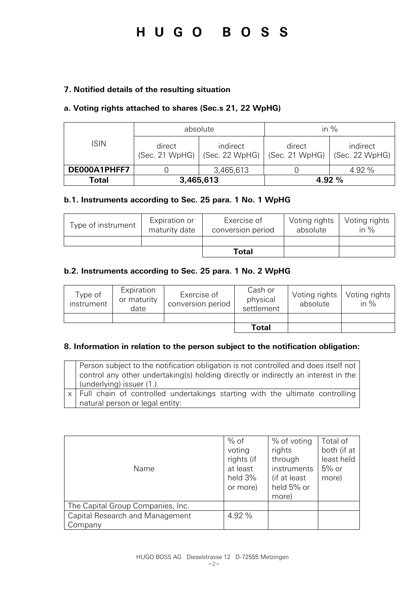## HUGO BOSS

## **7. Notified details of the resulting situation**

### **a. Voting rights attached to shares (Sec.s 21, 22 WpHG)**

|                           | absolute                 |                            | in $%$                   |                            |
|---------------------------|--------------------------|----------------------------|--------------------------|----------------------------|
| <b>ISIN</b>               | direct<br>(Sec. 21 WpHG) | indirect<br>(Sec. 22 WpHG) | direct<br>(Sec. 21 WpHG) | indirect<br>(Sec. 22 WpHG) |
| DE000A1PHFF7<br>3,465,613 |                          |                            | 4.92 %                   |                            |
| Total                     | 3,465,613                |                            |                          | 4.92 %                     |

### **b.1. Instruments according to Sec. 25 para. 1 No. 1 WpHG**

| Type of instrument | Expiration or<br>maturity date | Exercise of<br>conversion period | Voting rights<br>absolute | Voting rights<br>in $%$ |
|--------------------|--------------------------------|----------------------------------|---------------------------|-------------------------|
|                    |                                |                                  |                           |                         |
|                    |                                | Total                            |                           |                         |

### **b.2. Instruments according to Sec. 25 para. 1 No. 2 WpHG**

| Type of<br>instrument | Expiration<br>or maturity<br>date | Exercise of<br>conversion period | Cash or<br>physical<br>settlement | Voting rights<br>absolute | Voting rights<br>in $%$ |
|-----------------------|-----------------------------------|----------------------------------|-----------------------------------|---------------------------|-------------------------|
|                       |                                   |                                  |                                   |                           |                         |
|                       |                                   |                                  | <b>Total</b>                      |                           |                         |

#### **8. Information in relation to the person subject to the notification obligation:**

| Person subject to the notification obligation is not controlled and does itself not |  |  |  |  |
|-------------------------------------------------------------------------------------|--|--|--|--|
| control any other undertaking(s) holding directly or indirectly an interest in the  |  |  |  |  |
| (underlying) issuer (1.).                                                           |  |  |  |  |
| x   Full chain of controlled undertakings starting with the ultimate controlling    |  |  |  |  |
| natural person or legal entity:                                                     |  |  |  |  |

| Name                              | $%$ of<br>voting<br>rights (if<br>at least<br>held 3%<br>or more) | % of voting<br>rights<br>through<br>instruments<br>(if at least<br>held 5% or<br>more) | Total of<br>both (if at<br>least held<br>$5%$ or<br>more) |
|-----------------------------------|-------------------------------------------------------------------|----------------------------------------------------------------------------------------|-----------------------------------------------------------|
| The Capital Group Companies, Inc. |                                                                   |                                                                                        |                                                           |
| Capital Research and Management   | 4.92 %                                                            |                                                                                        |                                                           |
| Company                           |                                                                   |                                                                                        |                                                           |